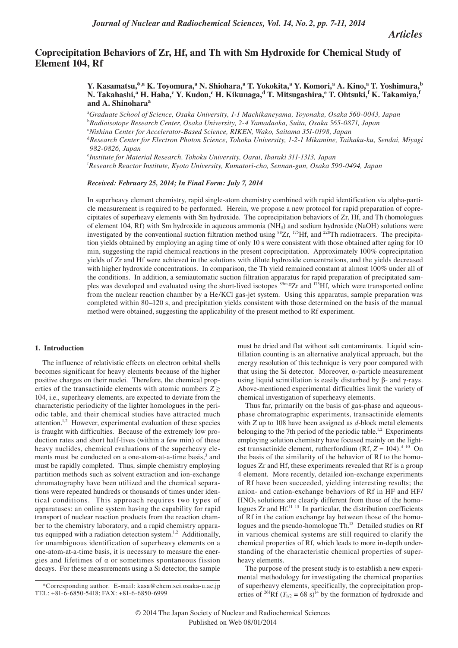*Articles*

# **Coprecipitation Behaviors of Zr, Hf, and Th with Sm Hydroxide for Chemical Study of Element 104, Rf**

# **Y. Kasamatsu,\*,a K. Toyomura,<sup>a</sup> N. Shiohara,<sup>a</sup> T. Yokokita,<sup>a</sup> Y. Komori,<sup>a</sup> A. Kino,<sup>a</sup> T. Yoshimura,<sup>b</sup> N. Takahashi,<sup>a</sup> H. Haba,<sup>c</sup> Y. Kudou,<sup>c</sup> H. Kikunaga,d T. Mitsugashira,e T. Ohtsuki,<sup>f</sup> K. Takamiya,<sup>f</sup> and A. Shinohara<sup>a</sup>**

a *Graduate School of Science, Osaka University, 1-1 Machikaneyama, Toyonaka, Osaka 560-0043, Japan*

<sup>d</sup>*Research Center for Electron Photon Science, Tohoku University, 1-2-1 Mikamine, Taihaku-ku, Sendai, Miyagi 982-0826, Japan*

e *Institute for Material Research, Tohoku University, Oarai, Ibaraki 311-1313, Japan*

f *Research Reactor Institute, Kyoto University, Kumatori-cho, Sennan-gun, Osaka 590-0494, Japan*

*Received: February 25, 2014; In Final Form: July 7, 2014*

In superheavy element chemistry, rapid single-atom chemistry combined with rapid identification via alpha-particle measurement is required to be performed. Herein, we propose a new protocol for rapid preparation of coprecipitates of superheavy elements with Sm hydroxide. The coprecipitation behaviors of Zr, Hf, and Th (homologues of element 104, Rf) with Sm hydroxide in aqueous ammonia (NH3) and sodium hydroxide (NaOH) solutions were investigated by the conventional suction filtration method using <sup>88</sup>Zr, <sup>175</sup>Hf, and <sup>228</sup>Th radiotracers. The precipitation yields obtained by employing an aging time of only 10 s were consistent with those obtained after aging for 10 min, suggesting the rapid chemical reactions in the present coprecipitation. Approximately 100% coprecipitation yields of Zr and Hf were achieved in the solutions with dilute hydroxide concentrations, and the yields decreased with higher hydroxide concentrations. In comparison, the Th yield remained constant at almost 100% under all of the conditions. In addition, a semiautomatic suction filtration apparatus for rapid preparation of precipitated samples was developed and evaluated using the short-lived isotopes  $\frac{1}{3}$ <sup>89m,g</sup>Zr and <sup>173</sup>Hf, which were transported online from the nuclear reaction chamber by a He/KCl gas-jet system. Using this apparatus, sample preparation was completed within 80–120 s, and precipitation yields consistent with those determined on the basis of the manual method were obtained, suggesting the applicability of the present method to Rf experiment.

## **1. Introduction**

The influence of relativistic effects on electron orbital shells becomes significant for heavy elements because of the higher positive charges on their nuclei. Therefore, the chemical properties of the transactinide elements with atomic numbers  $Z \geq$ 104, i.e., superheavy elements, are expected to deviate from the characteristic periodicity of the lighter homologues in the periodic table, and their chemical studies have attracted much attention.1,2 However, experimental evaluation of these species is fraught with difficulties. Because of the extremely low production rates and short half-lives (within a few min) of these heavy nuclides, chemical evaluations of the superheavy elements must be conducted on a one-atom-at-a-time basis,<sup>3</sup> and must be rapidly completed. Thus, simple chemistry employing partition methods such as solvent extraction and ion-exchange chromatography have been utilized and the chemical separations were repeated hundreds or thousands of times under identical conditions. This approach requires two types of apparatuses: an online system having the capability for rapid transport of nuclear reaction products from the reaction chamber to the chemistry laboratory, and a rapid chemistry apparatus equipped with a radiation detection system.<sup>1,2</sup> Additionally, for unambiguous identification of superheavy elements on a one-atom-at-a-time basis, it is necessary to measure the energies and lifetimes of α or sometimes spontaneous fission decays. For these measurements using a Si detector, the sample

must be dried and flat without salt contaminants. Liquid scintillation counting is an alternative analytical approach, but the energy resolution of this technique is very poor compared with that using the Si detector. Moreover, α-particle measurement using liquid scintillation is easily disturbed by β- and γ-rays. Above-mentioned experimental difficulties limit the variety of chemical investigation of superheavy elements.

Thus far, primarily on the basis of gas-phase and aqueousphase chromatographic experiments, transactinide elements with *Z* up to 108 have been assigned as *d*-block metal elements belonging to the 7th period of the periodic table.<sup>1,2</sup> Experiments employing solution chemistry have focused mainly on the lightest transactinide element, rutherfordium (Rf,  $Z = 104$ ).<sup>4–10</sup> On the basis of the similarity of the behavior of Rf to the homologues Zr and Hf, these experiments revealed that Rf is a group 4 element. More recently, detailed ion-exchange experiments of Rf have been succeeded, yielding interesting results; the anion- and cation-exchange behaviors of Rf in HF and HF/ HNO<sub>3</sub> solutions are clearly different from those of the homologues  $Zr$  and  $Hf^{11-13}$  In particular, the distribution coefficients of Rf in the cation exchange lay between those of the homologues and the pseudo-homologue Th.<sup>13</sup> Detailed studies on Rf in various chemical systems are still required to clarify the chemical properties of Rf, which leads to more in-depth understanding of the characteristic chemical properties of superheavy elements.

The purpose of the present study is to establish a new experimental methodology for investigating the chemical properties of superheavy elements, specifically, the coprecipitation properties of <sup>261</sup>Rf ( $T_{1/2}$  = 68 s)<sup>14</sup> by the formation of hydroxide and

b *Radioisotope Research Center, Osaka University, 2-4 Yamadaoka, Suita, Osaka 565-0871, Japan* 

c *Nishina Center for Accelerator-Based Science, RIKEN, Wako, Saitama 351-0198, Japan*

<sup>\*</sup>Corresponding author. E-mail: kasa@chem.sci.osaka-u.ac.jp TEL: +81-6-6850-5418; FAX: +81-6-6850-6999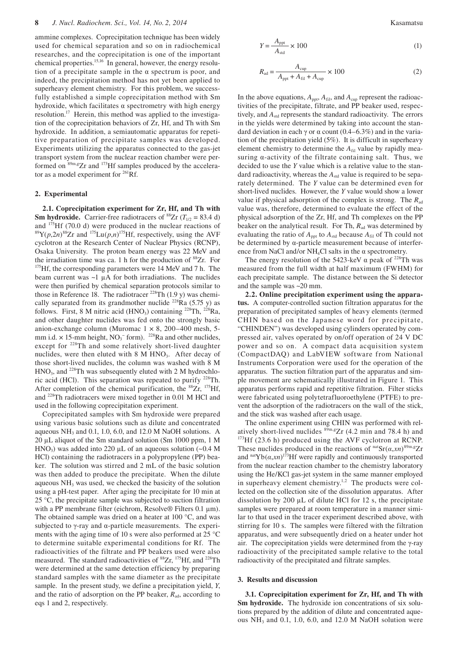ammine complexes. Coprecipitation technique has been widely used for chemical separation and so on in radiochemical researches, and the coprecipitation is one of the important chemical properties.15,16 In general, however, the energy resolution of a precipitate sample in the  $\alpha$  spectrum is poor, and indeed, the precipitation method has not yet been applied to superheavy element chemistry. For this problem, we successfully established a simple coprecipitation method with Sm hydroxide, which facilitates α spectrometry with high energy resolution.17 Herein, this method was applied to the investigation of the coprecipitation behaviors of Zr, Hf, and Th with Sm hydroxide. In addition, a semiautomatic apparatus for repetitive preparation of precipitate samples was developed. Experiments utilizing the apparatus connected to the gas-jet transport system from the nuclear reaction chamber were performed on  $89m,gZr$  and  $173Hf$  samples produced by the accelerator as a model experiment for  $^{261}$ Rf.

#### **2. Experimental**

**2.1. Coprecipitation experiment for Zr, Hf, and Th with Sm hydroxide.** Carrier-free radiotracers of <sup>88</sup>Zr ( $T_{1/2}$  = 83.4 d) and <sup>175</sup>Hf (70.0 d) were produced in the nuclear reactions of  ${}^{89}Y(p,2n) {}^{88}Zr$  and  ${}^{175}Lu(p,n) {}^{175}Hf$ , respectively, using the AVF cyclotron at the Research Center of Nuclear Physics (RCNP), Osaka University. The proton beam energy was 22 MeV and the irradiation time was ca. 1 h for the production of  ${}^{88}Zr$ . For  ${}^{175}Hf$ , the corresponding parameters were 14 MeV and 7 h. The beam current was  $\sim$ 1 µA for both irradiations. The nuclides were then purified by chemical separation protocols similar to those in Reference 18. The radiotracer  $^{228}$ Th (1.9 y) was chemically separated from its grandmother nuclide <sup>228</sup>Ra (5.75 y) as follows. First, 8 M nitric acid (HNO<sub>3</sub>) containing <sup>228</sup>Th, <sup>228</sup>Ra, and other daughter nuclides was fed onto the strongly basic anion-exchange column (Muromac  $1 \times 8$ , 200–400 mesh, 5mm i.d.  $\times$  15-mm height, NO<sub>3</sub><sup>-</sup> form). <sup>228</sup>Ra and other nuclides, except for <sup>228</sup>Th and some relatively short-lived daughter nuclides, were then eluted with 8 M HNO<sub>3</sub>. After decay of those short-lived nuclides, the column was washed with 8 M  $HNO<sub>3</sub>$ , and <sup>228</sup>Th was subsequently eluted with 2 M hydrochloric acid (HCl). This separation was repeated to purify 228Th. After completion of the chemical purification, the  $^{88}Zr$ ,  $^{175}Hf$ , and 228Th radiotracers were mixed together in 0.01 M HCl and used in the following coprecipitation experiment.

Coprecipitated samples with Sm hydroxide were prepared using various basic solutions such as dilute and concentrated aqueous  $NH_3$  and 0.1, 1.0, 6.0, and 12.0 M NaOH solutions. A 20 µL aliquot of the Sm standard solution (Sm 1000 ppm, 1 M HNO<sub>3</sub>) was added into 220  $\mu$ L of an aqueous solution (~0.4 M HCl) containing the radiotracers in a polypropylene (PP) beaker. The solution was stirred and 2 mL of the basic solution was then added to produce the precipitate. When the dilute aqueous NH<sub>3</sub> was used, we checked the basicity of the solution using a pH-test paper. After aging the precipitate for 10 min at 25 °C, the precipitate sample was subjected to suction filtration with a PP membrane filter (eichrom, Resolve $\mathcal D$  Filters 0.1  $\mu$ m). The obtained sample was dried on a heater at 100 °C, and was subjected to γ-ray and α-particle measurements. The experiments with the aging time of 10 s were also performed at 25 °C to determine suitable experimental conditions for Rf. The radioactivities of the filtrate and PP beakers used were also measured. The standard radioactivities of  ${}^{88}Zr$ ,  ${}^{175}Hf$ , and  ${}^{228}Th$ were determined at the same detection efficiency by preparing standard samples with the same diameter as the precipitate sample. In the present study, we define a precipitation yield, *Y*, and the ratio of adsorption on the PP beaker,  $R_{ad}$ , according to eqs 1 and 2, respectively.

$$
Y = \frac{A_{\rm ppt}}{A_{\rm std}} \times 100\tag{1}
$$

$$
R_{\rm ad} = \frac{A_{\rm cup}}{A_{\rm ppt} + A_{\rm fil} + A_{\rm cup}} \times 100
$$
 (2)

In the above equations,  $A_{\text{ppt}}$ ,  $A_{\text{fil}}$ , and  $A_{\text{cup}}$  represent the radioactivities of the precipitate, filtrate, and PP beaker used, respectively, and  $A_{std}$  represents the standard radioactivity. The errors in the yields were determined by taking into account the standard deviation in each  $\gamma$  or  $\alpha$  count (0.4–6.3%) and in the variation of the precipitation yield (5%). It is difficult in superheavy element chemistry to determine the *A*<sub>fil</sub> value by rapidly measuring α-activity of the filtrate containing salt. Thus, we decided to use the *Y* value which is a relative value to the standard radioactivity, whereas the  $A_{std}$  value is required to be separately determined. The *Y* value can be determined even for short-lived nuclides. However, the *Y* value would show a lower value if physical adsorption of the complex is strong. The  $R_{ad}$ value was, therefore, determined to evaluate the effect of the physical adsorption of the Zr, Hf, and Th complexes on the PP beaker on the analytical result. For Th,  $R_{ad}$  was determined by evaluating the ratio of  $A_{\text{ppt}}$  to  $A_{\text{std}}$  because  $A_{\text{fil}}$  of Th could not be determined by α-particle measurement because of interference from NaCl and/or  $NH<sub>4</sub>Cl$  salts in the  $\alpha$  spectrometry.

The energy resolution of the 5423-keV  $\alpha$  peak of <sup>228</sup>Th was measured from the full width at half maximum (FWHM) for each precipitate sample. The distance between the Si detector and the sample was ~20 mm.

**2.2. Online precipitation experiment using the apparatus.** A computer-controlled suction filtration apparatus for the preparation of precipitated samples of heavy elements (termed CHIN based on the Japanese word for precipitate, "CHINDEN") was developed using cylinders operated by compressed air, valves operated by on/off operation of 24 V DC power and so on. A compact data acquisition system (CompactDAQ) and LabVIEW software from National Instruments Corporation were used for the operation of the apparatus. The suction filtration part of the apparatus and simple movement are schematically illustrated in Figure 1. This apparatus performs rapid and repetitive filtration. Filter sticks were fabricated using polytetrafluoroethylene (PTFE) to prevent the adsorption of the radiotracers on the wall of the stick, and the stick was washed after each usage.

The online experiment using CHIN was performed with relatively short-lived nuclides  ${}^{89m, g}Zr$  (4.2 min and 78.4 h) and  ${}^{173}Hf$  (23.6 h) produced using the AVF cyclotron at RCNP. These nuclides produced in the reactions of  $\int_{0}^{\text{nat}} \text{Sr}(\alpha, xn)^{89m} \cdot \text{SZr}$ and  $\int_0^{\pi} \text{rad} Y b(a, xn)^{173}$  Hf were rapidly and continuously transported from the nuclear reaction chamber to the chemistry laboratory using the He/KCl gas-jet system in the same manner employed in superheavy element chemistry.<sup>1,2</sup> The products were collected on the collection site of the dissolution apparatus. After dissolution by 200  $\mu$ L of dilute HCl for 12 s, the precipitate samples were prepared at room temperature in a manner similar to that used in the tracer experiment described above, with stirring for 10 s. The samples were filtered with the filtration apparatus, and were subsequently dried on a heater under hot air. The coprecipitation yields were determined from the γ-ray radioactivity of the precipitated sample relative to the total radioactivity of the precipitated and filtrate samples.

#### **3. Results and discussion**

**3.1. Coprecipitation experiment for Zr, Hf, and Th with Sm hydroxide.** The hydroxide ion concentrations of six solutions prepared by the addition of dilute and concentrated aqueous  $NH_3$  and 0.1, 1.0, 6.0, and 12.0 M NaOH solution were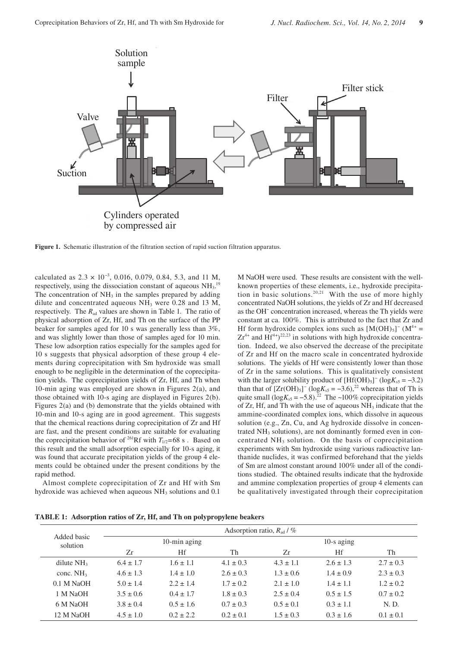

**Figure 1.** Schematic illustration of the filtration section of rapid suction filtration apparatus.

calculated as  $2.3 \times 10^{-3}$ , 0.016, 0.079, 0.84, 5.3, and 11 M, respectively, using the dissociation constant of aqueous  $NH<sub>3</sub>$ .<sup>19</sup> The concentration of  $NH<sub>3</sub>$  in the samples prepared by adding dilute and concentrated aqueous  $NH<sub>3</sub>$  were 0.28 and 13 M, respectively. The  $R_{ad}$  values are shown in Table 1. The ratio of physical adsorption of Zr, Hf, and Th on the surface of the PP beaker for samples aged for 10 s was generally less than 3%, and was slightly lower than those of samples aged for 10 min. These low adsorption ratios especially for the samples aged for 10 s suggests that physical adsorption of these group 4 elements during coprecipitation with Sm hydroxide was small enough to be negligible in the determination of the coprecipitation yields. The coprecipitation yields of Zr, Hf, and Th when 10-min aging was employed are shown in Figures 2(a), and those obtained with 10-s aging are displayed in Figures 2(b). Figures 2(a) and (b) demonstrate that the yields obtained with 10-min and 10-s aging are in good agreement. This suggests that the chemical reactions during coprecipitation of Zr and Hf are fast, and the present conditions are suitable for evaluating the coprecipitation behavior of <sup>261</sup>Rf with  $T_{1/2}$ =68 s. Based on this result and the small adsorption especially for 10-s aging, it was found that accurate precipitation yields of the group 4 elements could be obtained under the present conditions by the rapid method.

Almost complete coprecipitation of Zr and Hf with Sm hydroxide was achieved when aqueous  $NH<sub>3</sub>$  solutions and 0.1

M NaOH were used. These results are consistent with the wellknown properties of these elements, i.e., hydroxide precipitation in basic solutions.<sup>20,21</sup> With the use of more highly concentrated NaOH solutions, the yields of Zr and Hf decreased as the OH− concentration increased, whereas the Th yields were constant at ca. 100%. This is attributed to the fact that Zr and Hf form hydroxide complex ions such as  $[M(OH)_5]$ <sup>-</sup> (M<sup>4+</sup> =  $Zr^{4+}$  and Hf<sup>4+</sup>)<sup>22,23</sup> in solutions with high hydroxide concentration. Indeed, we also observed the decrease of the precipitate of Zr and Hf on the macro scale in concentrated hydroxide solutions. The yields of Hf were consistently lower than those of Zr in the same solutions. This is qualitatively consistent with the larger solubility product of  $[Hf(OH)_5]$ <sup>-</sup> (log $K_{s5} = -3.2$ ) than that of  $[Zr(OH)_5]$ <sup>-</sup> (log $K_{s5} = -3.6$ ),<sup>22</sup> whereas that of Th is quite small  $(\log K_{s5} = -5.8)$ .<sup>22</sup> The ~100% coprecipitation yields of  $Zr$ , Hf, and Th with the use of aqueous  $NH<sub>3</sub>$  indicate that the ammine-coordinated complex ions, which dissolve in aqueous solution (e.g., Zn, Cu, and Ag hydroxide dissolve in concentrated NH<sub>3</sub> solutions), are not dominantly formed even in concentrated  $NH<sub>3</sub>$  solution. On the basis of coprecipitation experiments with Sm hydroxide using various radioactive lanthanide nuclides, it was confirmed beforehand that the yields of Sm are almost constant around 100% under all of the conditions studied. The obtained results indicate that the hydroxide and ammine complexation properties of group 4 elements can be qualitatively investigated through their coprecipitation

| Added basic<br>solution | Adsorption ratio, $R_{\text{ad}}$ / $\%$ |               |               |               |               |               |
|-------------------------|------------------------------------------|---------------|---------------|---------------|---------------|---------------|
|                         | 10-min aging                             |               |               | $10-s$ aging  |               |               |
|                         | Zr                                       | Hf            | Th            | Zr            | Hf            | Th            |
| dilute $NH3$            | $6.4 \pm 1.7$                            | $1.6 \pm 1.1$ | $4.1 \pm 0.3$ | $4.3 \pm 1.1$ | $2.6 \pm 1.3$ | $2.7 \pm 0.3$ |
| conc. $NH3$             | $4.6 \pm 1.3$                            | $1.4 \pm 1.0$ | $2.6 \pm 0.3$ | $1.3 \pm 0.6$ | $1.4 \pm 0.9$ | $2.3 \pm 0.3$ |
| $0.1$ M NaOH            | $5.0 \pm 1.4$                            | $2.2 \pm 1.4$ | $1.7 \pm 0.2$ | $2.1 \pm 1.0$ | $1.4 \pm 1.1$ | $1.2 \pm 0.2$ |
| 1 M NaOH                | $3.5 \pm 0.6$                            | $0.4 \pm 1.7$ | $1.8 \pm 0.3$ | $2.5 \pm 0.4$ | $0.5 \pm 1.5$ | $0.7 \pm 0.2$ |
| 6 M NaOH                | $3.8 \pm 0.4$                            | $0.5 \pm 1.6$ | $0.7 \pm 0.3$ | $0.5 \pm 0.1$ | $0.3 \pm 1.1$ | N. D.         |
| 12 M NaOH               | $4.5 \pm 1.0$                            | $0.2 \pm 2.2$ | $0.2 \pm 0.1$ | $1.5 \pm 0.3$ | $0.3 \pm 1.6$ | $0.1 \pm 0.1$ |

**TABLE 1: Adsorption ratios of Zr, Hf, and Th on polypropylene beakers**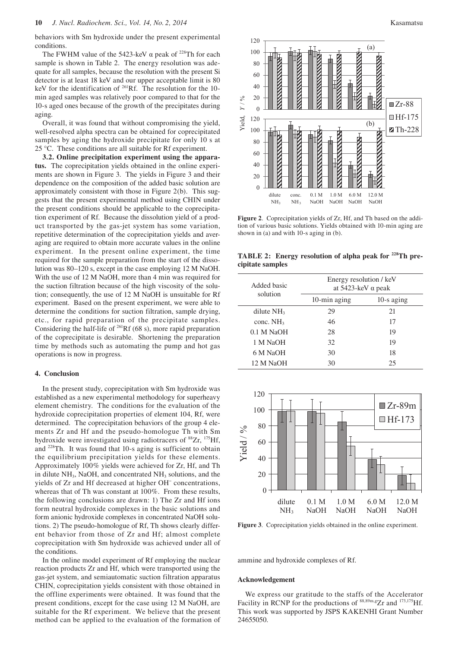behaviors with Sm hydroxide under the present experimental conditions.

The FWHM value of the 5423-keV  $\alpha$  peak of <sup>228</sup>Th for each sample is shown in Table 2. The energy resolution was adequate for all samples, because the resolution with the present Si detector is at least 18 keV and our upper acceptable limit is 80 keV for the identification of 261Rf. The resolution for the 10 min aged samples was relatively poor compared to that for the 10-s aged ones because of the growth of the precipitates during aging.

Overall, it was found that without compromising the yield, well-resolved alpha spectra can be obtained for coprecipitated samples by aging the hydroxide precipitate for only 10 s at 25 °C. These conditions are all suitable for Rf experiment.

**3.2. Online precipitation experiment using the apparatus.** The coprecipitation yields obtained in the online experiments are shown in Figure 3. The yields in Figure 3 and their dependence on the composition of the added basic solution are approximately consistent with those in Figure 2(b). This suggests that the present experimental method using CHIN under the present conditions should be applicable to the coprecipitation experiment of Rf. Because the dissolution yield of a product transported by the gas-jet system has some variation, repetitive determination of the coprecipitation yields and averaging are required to obtain more accurate values in the online experiment. In the present online experiment, the time required for the sample preparation from the start of the dissolution was 80–120 s, except in the case employing 12 M NaOH. With the use of 12 M NaOH, more than 4 min was required for the suction filtration because of the high viscosity of the solution; consequently, the use of 12 M NaOH is unsuitable for Rf experiment. Based on the present experiment, we were able to determine the conditions for suction filtration, sample drying, etc., for rapid preparation of the precipitate samples. Considering the half-life of  $^{261}$ Rf (68 s), more rapid preparation of the coprecipitate is desirable. Shortening the preparation time by methods such as automating the pump and hot gas operations is now in progress.

## **4. Conclusion**

In the present study, coprecipitation with Sm hydroxide was established as a new experimental methodology for superheavy element chemistry. The conditions for the evaluation of the hydroxide coprecipitation properties of element 104, Rf, were determined. The coprecipitation behaviors of the group 4 elements Zr and Hf and the pseudo-homologue Th with Sm hydroxide were investigated using radiotracers of  ${}^{88}Zr$ ,  ${}^{175}Hf$ , and 228Th. It was found that 10-s aging is sufficient to obtain the equilibrium precipitation yields for these elements. Approximately 100% yields were achieved for Zr, Hf, and Th in dilute NH<sub>3</sub>, NaOH, and concentrated NH<sub>3</sub> solutions, and the yields of Zr and Hf decreased at higher OH− concentrations, whereas that of Th was constant at 100%. From these results, the following conclusions are drawn: 1) The Zr and Hf ions form neutral hydroxide complexes in the basic solutions and form anionic hydroxide complexes in concentrated NaOH solutions. 2) The pseudo-homologue of Rf, Th shows clearly different behavior from those of Zr and Hf; almost complete coprecipitation with Sm hydroxide was achieved under all of the conditions.

In the online model experiment of Rf employing the nuclear reaction products Zr and Hf, which were transported using the gas-jet system, and semiautomatic suction filtration apparatus CHIN, coprecipitation yields consistent with those obtained in the offline experiments were obtained. It was found that the present conditions, except for the case using 12 M NaOH, are suitable for the Rf experiment. We believe that the present method can be applied to the evaluation of the formation of



**Figure 2**. Coprecipitation yields of Zr, Hf, and Th based on the addition of various basic solutions. Yields obtained with 10-min aging are shown in (a) and with 10-s aging in (b).

**TABLE 2: Energy resolution of alpha peak for 228Th precipitate samples**

| Added basic<br>solution | Energy resolution / keV<br>at $5423$ -keV $\alpha$ peak |              |  |  |
|-------------------------|---------------------------------------------------------|--------------|--|--|
|                         | 10-min aging                                            | $10-s$ aging |  |  |
| dilute $NH3$            | 29                                                      | 21           |  |  |
| conc. $NH3$             | 46                                                      | 17           |  |  |
| $0.1$ M NaOH            | 28                                                      | 19           |  |  |
| 1 M NaOH                | 32                                                      | 19           |  |  |
| 6 M NaOH                | 30                                                      | 18           |  |  |
| 12 M NaOH               | 30                                                      | 25           |  |  |



**Figure 3**. Coprecipitation yields obtained in the online experiment.

ammine and hydroxide complexes of Rf.

#### **Acknowledgement**

We express our gratitude to the staffs of the Accelerator Facility in RCNP for the productions of  $88,89$ m,gZr and  $173,175$ Hf. This work was supported by JSPS KAKENHI Grant Number 24655050.